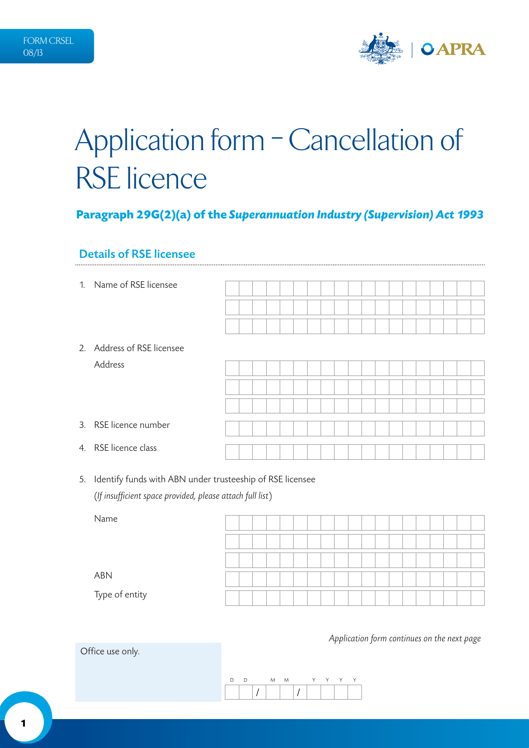

# Application form - Cancellation of RSE licence

# **Paragraph 29G(2)(a) of the** *Superannuation Industry (Supervision) Act 1993*

#### Details of RSE licensee

| 1. | Name of RSE licensee       |  |  |  |  |  |  |  |  |  |
|----|----------------------------|--|--|--|--|--|--|--|--|--|
|    |                            |  |  |  |  |  |  |  |  |  |
|    |                            |  |  |  |  |  |  |  |  |  |
|    | 2. Address of RSE licensee |  |  |  |  |  |  |  |  |  |
|    | Address                    |  |  |  |  |  |  |  |  |  |
|    |                            |  |  |  |  |  |  |  |  |  |
|    |                            |  |  |  |  |  |  |  |  |  |
|    | 3. RSE licence number      |  |  |  |  |  |  |  |  |  |
|    | 4. RSE licence class       |  |  |  |  |  |  |  |  |  |

5. Identify funds with ABN under trusteeship of RSE licensee (*If insufficient space provided, please attach full list*)

| Name           |  |  |  |  |  |  |  |  |  |  |
|----------------|--|--|--|--|--|--|--|--|--|--|
|                |  |  |  |  |  |  |  |  |  |  |
|                |  |  |  |  |  |  |  |  |  |  |
|                |  |  |  |  |  |  |  |  |  |  |
|                |  |  |  |  |  |  |  |  |  |  |
|                |  |  |  |  |  |  |  |  |  |  |
| ABN            |  |  |  |  |  |  |  |  |  |  |
|                |  |  |  |  |  |  |  |  |  |  |
| Type of entity |  |  |  |  |  |  |  |  |  |  |
|                |  |  |  |  |  |  |  |  |  |  |

*Application form continues on the next page*

Office use only.

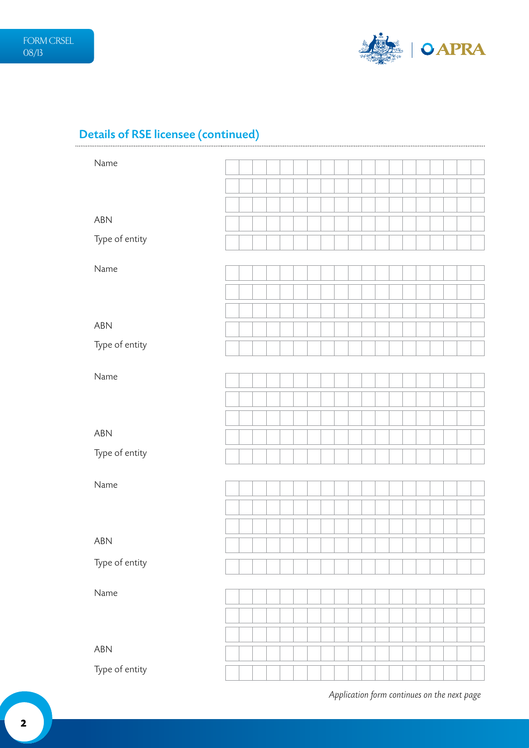

# Details of RSE licensee (continued)

| Name           |  |  |  |  |  |  |  |  |  |  |
|----------------|--|--|--|--|--|--|--|--|--|--|
|                |  |  |  |  |  |  |  |  |  |  |
|                |  |  |  |  |  |  |  |  |  |  |
| ABN            |  |  |  |  |  |  |  |  |  |  |
| Type of entity |  |  |  |  |  |  |  |  |  |  |
| Name           |  |  |  |  |  |  |  |  |  |  |
|                |  |  |  |  |  |  |  |  |  |  |
|                |  |  |  |  |  |  |  |  |  |  |
| ABN            |  |  |  |  |  |  |  |  |  |  |
|                |  |  |  |  |  |  |  |  |  |  |
| Type of entity |  |  |  |  |  |  |  |  |  |  |
| Name           |  |  |  |  |  |  |  |  |  |  |
|                |  |  |  |  |  |  |  |  |  |  |
|                |  |  |  |  |  |  |  |  |  |  |
| ABN            |  |  |  |  |  |  |  |  |  |  |
| Type of entity |  |  |  |  |  |  |  |  |  |  |
|                |  |  |  |  |  |  |  |  |  |  |
| Name           |  |  |  |  |  |  |  |  |  |  |
|                |  |  |  |  |  |  |  |  |  |  |
|                |  |  |  |  |  |  |  |  |  |  |
| ABN            |  |  |  |  |  |  |  |  |  |  |
| Type of entity |  |  |  |  |  |  |  |  |  |  |
|                |  |  |  |  |  |  |  |  |  |  |
| Name           |  |  |  |  |  |  |  |  |  |  |
|                |  |  |  |  |  |  |  |  |  |  |
|                |  |  |  |  |  |  |  |  |  |  |
| <b>ABN</b>     |  |  |  |  |  |  |  |  |  |  |
| Type of entity |  |  |  |  |  |  |  |  |  |  |

*Application form continues on the next page*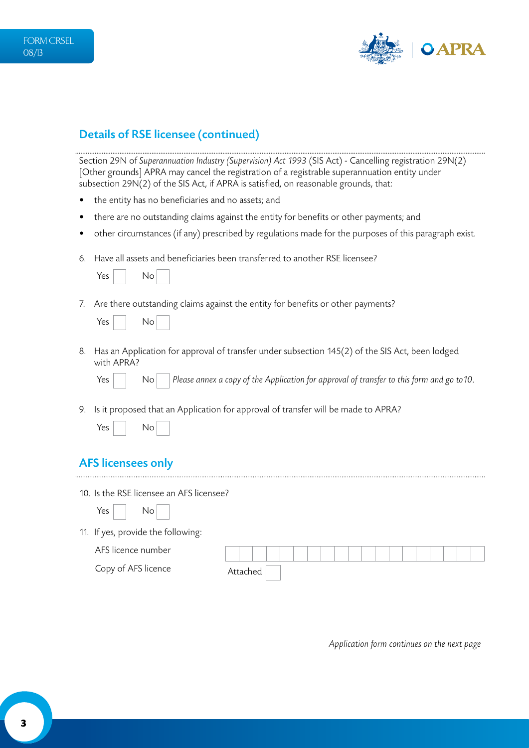

# Details of RSE licensee (continued)

Section 29N of *Superannuation Industry (Supervision) Act 1993* (SIS Act) - Cancelling registration 29N(2) [Other grounds] APRA may cancel the registration of a registrable superannuation entity under subsection 29N(2) of the SIS Act, if APRA is satisfied, on reasonable grounds, that:

- the entity has no beneficiaries and no assets; and
- there are no outstanding claims against the entity for benefits or other payments; and
- other circumstances (if any) prescribed by regulations made for the purposes of this paragraph exist.
- 6. Have all assets and beneficiaries been transferred to another RSE licensee?

| Yes |  | No |  |
|-----|--|----|--|
|-----|--|----|--|

7. Are there outstanding claims against the entity for benefits or other payments?

| Yes |  | No |
|-----|--|----|
|-----|--|----|

8. Has an Application for approval of transfer under subsection 145(2) of the SIS Act, been lodged with APRA?

Yes **No Please annex a copy of the Application for approval of transfer to this form and go to 10.** 

9. Is it proposed that an Application for approval of transfer will be made to APRA?

| Yes | N٥ |  |
|-----|----|--|
|     |    |  |

#### AFS licensees only

 $Yes \mid \mid No$ 

10. Is the RSE licensee an AFS licensee?

11. If yes, provide the following:

| AFS licence number  |  |    |  |  |  |  |  |  |  |  |
|---------------------|--|----|--|--|--|--|--|--|--|--|
| Copy of AFS licence |  | ec |  |  |  |  |  |  |  |  |

*Application form continues on the next page*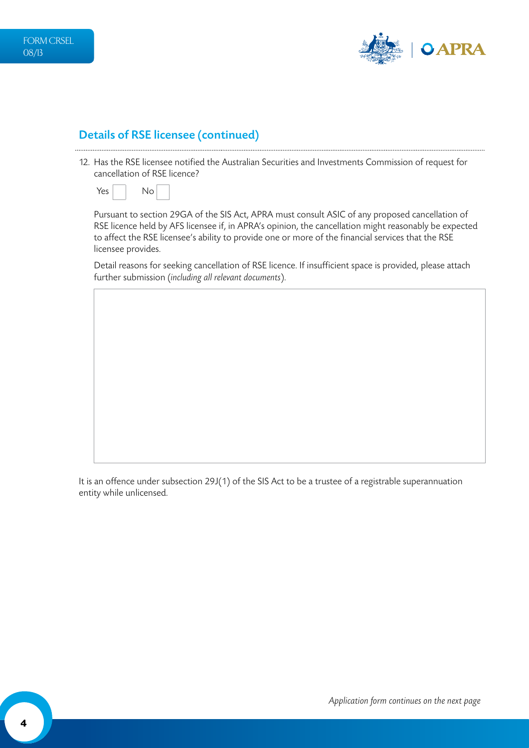

### Details of RSE licensee (continued)

12. Has the RSE licensee notified the Australian Securities and Investments Commission of request for cancellation of RSE licence?



Pursuant to section 29GA of the SIS Act, APRA must consult ASIC of any proposed cancellation of RSE licence held by AFS licensee if, in APRA's opinion, the cancellation might reasonably be expected to affect the RSE licensee's ability to provide one or more of the financial services that the RSE licensee provides.

Detail reasons for seeking cancellation of RSE licence. If insufficient space is provided, please attach further submission (*including all relevant documents*).

It is an offence under subsection 29J(1) of the SIS Act to be a trustee of a registrable superannuation entity while unlicensed.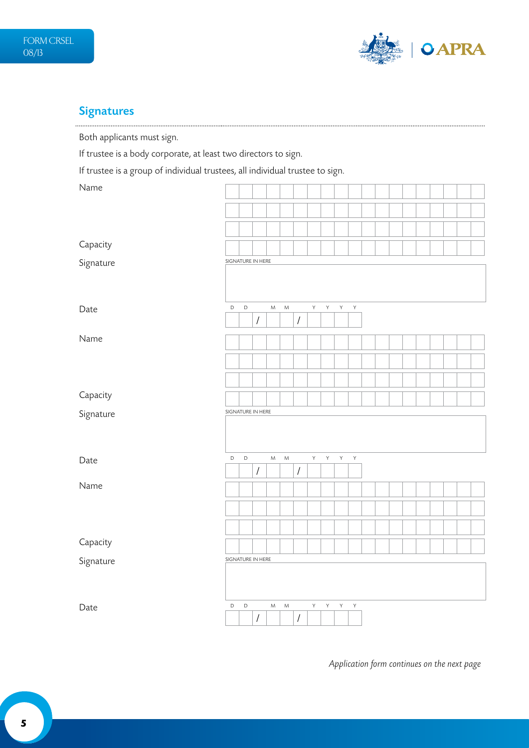

# **Signatures**

Both applicants must sign.

If trustee is a body corporate, at least two directors to sign.

If trustee is a group of individual trustees, all individual trustee to sign.

| Name      |                   |             |                      |           |           |                      |              |              |              |             |  |  |  |  |  |
|-----------|-------------------|-------------|----------------------|-----------|-----------|----------------------|--------------|--------------|--------------|-------------|--|--|--|--|--|
|           |                   |             |                      |           |           |                      |              |              |              |             |  |  |  |  |  |
|           |                   |             |                      |           |           |                      |              |              |              |             |  |  |  |  |  |
| Capacity  |                   |             |                      |           |           |                      |              |              |              |             |  |  |  |  |  |
| Signature | SIGNATURE IN HERE |             |                      |           |           |                      |              |              |              |             |  |  |  |  |  |
| Date      | $\mathsf D$       | $\mathsf D$ |                      | ${\sf M}$ | ${\sf M}$ |                      | $\mathsf{Y}$ | Y            | Y            | Y           |  |  |  |  |  |
|           |                   |             | $\sqrt{\phantom{a}}$ |           |           | $\sqrt{\phantom{a}}$ |              |              |              |             |  |  |  |  |  |
| Name      |                   |             |                      |           |           |                      |              |              |              |             |  |  |  |  |  |
|           |                   |             |                      |           |           |                      |              |              |              |             |  |  |  |  |  |
|           |                   |             |                      |           |           |                      |              |              |              |             |  |  |  |  |  |
| Capacity  |                   |             |                      |           |           |                      |              |              |              |             |  |  |  |  |  |
| Signature | SIGNATURE IN HERE |             |                      |           |           |                      |              |              |              |             |  |  |  |  |  |
|           |                   |             |                      |           |           |                      |              |              |              |             |  |  |  |  |  |
| Date      | $\mathsf D$       | $\mathsf D$ |                      | ${\sf M}$ | ${\sf M}$ |                      | Y            | $\mathsf{Y}$ | $\mathsf{Y}$ | $\mathsf Y$ |  |  |  |  |  |
|           |                   |             |                      |           |           |                      |              |              |              |             |  |  |  |  |  |
|           |                   |             | $\sqrt{\phantom{a}}$ |           |           | $\sqrt{\phantom{a}}$ |              |              |              |             |  |  |  |  |  |
| Name      |                   |             |                      |           |           |                      |              |              |              |             |  |  |  |  |  |
|           |                   |             |                      |           |           |                      |              |              |              |             |  |  |  |  |  |
|           |                   |             |                      |           |           |                      |              |              |              |             |  |  |  |  |  |
| Capacity  |                   |             |                      |           |           |                      |              |              |              |             |  |  |  |  |  |
| Signature | SIGNATURE IN HERE |             |                      |           |           |                      |              |              |              |             |  |  |  |  |  |

*Application form continues on the next page*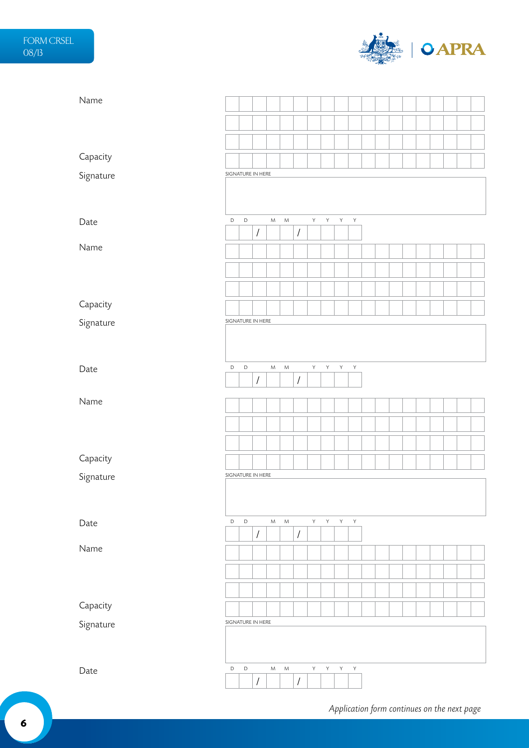

| Name      |                   |             |                      |           |           |                      |              |              |   |              |  |  |  |  |  |
|-----------|-------------------|-------------|----------------------|-----------|-----------|----------------------|--------------|--------------|---|--------------|--|--|--|--|--|
|           |                   |             |                      |           |           |                      |              |              |   |              |  |  |  |  |  |
|           |                   |             |                      |           |           |                      |              |              |   |              |  |  |  |  |  |
|           |                   |             |                      |           |           |                      |              |              |   |              |  |  |  |  |  |
| Capacity  |                   |             |                      |           |           |                      |              |              |   |              |  |  |  |  |  |
| Signature | SIGNATURE IN HERE |             |                      |           |           |                      |              |              |   |              |  |  |  |  |  |
|           |                   |             |                      |           |           |                      |              |              |   |              |  |  |  |  |  |
| Date      | $\mathsf D$       | $\mathsf D$ |                      | ${\sf M}$ | ${\sf M}$ |                      | Y            | $\mathsf{Y}$ | Y | $\mathsf{Y}$ |  |  |  |  |  |
|           |                   |             | $\sqrt{\phantom{a}}$ |           |           | $\sqrt{\phantom{a}}$ |              |              |   |              |  |  |  |  |  |
| Name      |                   |             |                      |           |           |                      |              |              |   |              |  |  |  |  |  |
|           |                   |             |                      |           |           |                      |              |              |   |              |  |  |  |  |  |
|           |                   |             |                      |           |           |                      |              |              |   |              |  |  |  |  |  |
| Capacity  |                   |             |                      |           |           |                      |              |              |   |              |  |  |  |  |  |
| Signature | SIGNATURE IN HERE |             |                      |           |           |                      |              |              |   |              |  |  |  |  |  |
|           |                   |             |                      |           |           |                      |              |              |   |              |  |  |  |  |  |
|           |                   |             |                      |           |           |                      |              |              |   |              |  |  |  |  |  |
| Date      | D                 | $\mathsf D$ |                      | ${\sf M}$ | ${\sf M}$ |                      | Y            | Y            | Y | Y            |  |  |  |  |  |
|           |                   |             | $\sqrt{\phantom{a}}$ |           |           | $\sqrt{\phantom{a}}$ |              |              |   |              |  |  |  |  |  |
| Name      |                   |             |                      |           |           |                      |              |              |   |              |  |  |  |  |  |
|           |                   |             |                      |           |           |                      |              |              |   |              |  |  |  |  |  |
|           |                   |             |                      |           |           |                      |              |              |   |              |  |  |  |  |  |
|           |                   |             |                      |           |           |                      |              |              |   |              |  |  |  |  |  |
| Capacity  | SIGNATURE IN HERE |             |                      |           |           |                      |              |              |   |              |  |  |  |  |  |
| Signature |                   |             |                      |           |           |                      |              |              |   |              |  |  |  |  |  |
|           |                   |             |                      |           |           |                      |              |              |   |              |  |  |  |  |  |
| Date      | D                 | $\mathsf D$ |                      | ${\sf M}$ | ${\sf M}$ |                      | $\mathsf{Y}$ | $\mathsf{Y}$ | Y | $\mathsf{Y}$ |  |  |  |  |  |
|           |                   |             | $\sqrt{2}$           |           |           | $\sqrt{\phantom{a}}$ |              |              |   |              |  |  |  |  |  |
| Name      |                   |             |                      |           |           |                      |              |              |   |              |  |  |  |  |  |
|           |                   |             |                      |           |           |                      |              |              |   |              |  |  |  |  |  |
|           |                   |             |                      |           |           |                      |              |              |   |              |  |  |  |  |  |
| Capacity  |                   |             |                      |           |           |                      |              |              |   |              |  |  |  |  |  |
| Signature | SIGNATURE IN HERE |             |                      |           |           |                      |              |              |   |              |  |  |  |  |  |
|           |                   |             |                      |           |           |                      |              |              |   |              |  |  |  |  |  |
|           |                   |             |                      |           |           |                      |              |              |   |              |  |  |  |  |  |
| Date      | D                 | $\mathsf D$ |                      | M         | M         |                      | Y.           | Y            | Y | Y            |  |  |  |  |  |
|           |                   |             | $\sqrt{\phantom{a}}$ |           |           | $\sqrt{\phantom{a}}$ |              |              |   |              |  |  |  |  |  |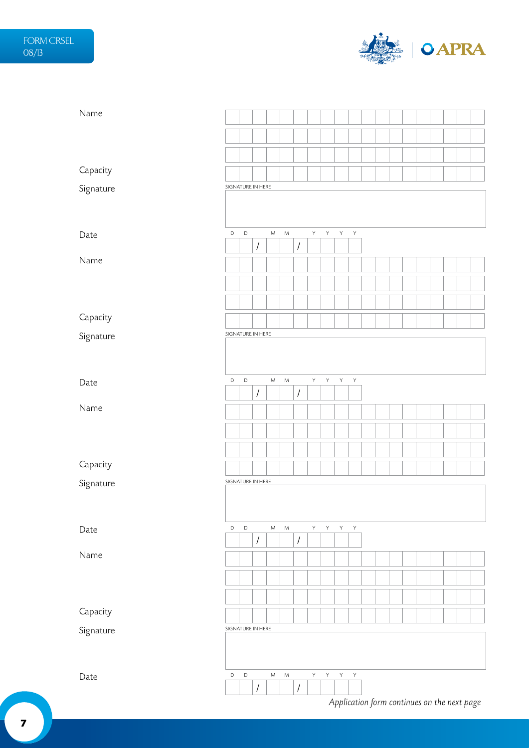

| Name      |                   |             |                      |           |           |                      |    |   |   |              |                                             |  |  |  |  |
|-----------|-------------------|-------------|----------------------|-----------|-----------|----------------------|----|---|---|--------------|---------------------------------------------|--|--|--|--|
|           |                   |             |                      |           |           |                      |    |   |   |              |                                             |  |  |  |  |
|           |                   |             |                      |           |           |                      |    |   |   |              |                                             |  |  |  |  |
|           |                   |             |                      |           |           |                      |    |   |   |              |                                             |  |  |  |  |
| Capacity  |                   |             |                      |           |           |                      |    |   |   |              |                                             |  |  |  |  |
| Signature | SIGNATURE IN HERE |             |                      |           |           |                      |    |   |   |              |                                             |  |  |  |  |
|           |                   |             |                      |           |           |                      |    |   |   |              |                                             |  |  |  |  |
|           | D                 | $\mathsf D$ |                      | ${\sf M}$ | ${\sf M}$ |                      | Y  | Y | Υ | Υ            |                                             |  |  |  |  |
| Date      |                   |             | $\sqrt{\phantom{a}}$ |           |           | $\sqrt{\phantom{a}}$ |    |   |   |              |                                             |  |  |  |  |
| Name      |                   |             |                      |           |           |                      |    |   |   |              |                                             |  |  |  |  |
|           |                   |             |                      |           |           |                      |    |   |   |              |                                             |  |  |  |  |
|           |                   |             |                      |           |           |                      |    |   |   |              |                                             |  |  |  |  |
|           |                   |             |                      |           |           |                      |    |   |   |              |                                             |  |  |  |  |
| Capacity  |                   |             |                      |           |           |                      |    |   |   |              |                                             |  |  |  |  |
| Signature | SIGNATURE IN HERE |             |                      |           |           |                      |    |   |   |              |                                             |  |  |  |  |
|           |                   |             |                      |           |           |                      |    |   |   |              |                                             |  |  |  |  |
|           |                   |             |                      |           |           |                      |    |   |   |              |                                             |  |  |  |  |
| Date      | $\mathsf D$       | $\mathsf D$ | $\sqrt{2}$           | ${\sf M}$ | ${\sf M}$ | $\sqrt{\phantom{a}}$ | Y  | Υ | Υ | $\mathsf Y$  |                                             |  |  |  |  |
| Name      |                   |             |                      |           |           |                      |    |   |   |              |                                             |  |  |  |  |
|           |                   |             |                      |           |           |                      |    |   |   |              |                                             |  |  |  |  |
|           |                   |             |                      |           |           |                      |    |   |   |              |                                             |  |  |  |  |
|           |                   |             |                      |           |           |                      |    |   |   |              |                                             |  |  |  |  |
| Capacity  |                   |             |                      |           |           |                      |    |   |   |              |                                             |  |  |  |  |
| Signature | SIGNATURE IN HERE |             |                      |           |           |                      |    |   |   |              |                                             |  |  |  |  |
|           |                   |             |                      |           |           |                      |    |   |   |              |                                             |  |  |  |  |
|           |                   |             |                      |           |           |                      |    |   |   |              |                                             |  |  |  |  |
| Date      | $\mathsf D$       | $\mathsf D$ | $\sqrt{\phantom{a}}$ | ${\sf M}$ | ${\sf M}$ | $\sqrt{\phantom{a}}$ | Y. | Y | Y | $\mathsf{Y}$ |                                             |  |  |  |  |
| Name      |                   |             |                      |           |           |                      |    |   |   |              |                                             |  |  |  |  |
|           |                   |             |                      |           |           |                      |    |   |   |              |                                             |  |  |  |  |
|           |                   |             |                      |           |           |                      |    |   |   |              |                                             |  |  |  |  |
|           |                   |             |                      |           |           |                      |    |   |   |              |                                             |  |  |  |  |
| Capacity  |                   |             |                      |           |           |                      |    |   |   |              |                                             |  |  |  |  |
| Signature | SIGNATURE IN HERE |             |                      |           |           |                      |    |   |   |              |                                             |  |  |  |  |
|           |                   |             |                      |           |           |                      |    |   |   |              |                                             |  |  |  |  |
|           |                   |             |                      |           |           |                      |    |   |   |              |                                             |  |  |  |  |
| Date      | $\mathsf D$       | $\mathsf D$ |                      | ${\sf M}$ | M         |                      | Y  | Υ | Y | $\mathsf Y$  |                                             |  |  |  |  |
|           |                   |             | $\sqrt{\phantom{a}}$ |           |           | $\sqrt{\phantom{a}}$ |    |   |   |              |                                             |  |  |  |  |
|           |                   |             |                      |           |           |                      |    |   |   |              | Application form continues on the next page |  |  |  |  |